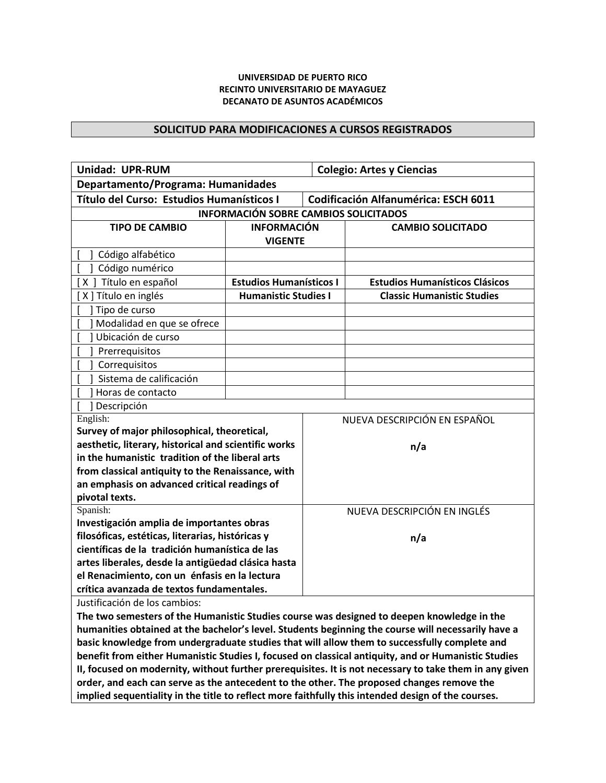## **UNIVERSIDAD DE PUERTO RICO RECINTO UNIVERSITARIO DE MAYAGUEZ DECANATO DE ASUNTOS ACADÉMICOS**

## **SOLICITUD PARA MODIFICACIONES A CURSOS REGISTRADOS**

| <b>Unidad: UPR-RUM</b>                                                                        |                                |                                      | <b>Colegio: Artes y Ciencias</b>      |  |  |
|-----------------------------------------------------------------------------------------------|--------------------------------|--------------------------------------|---------------------------------------|--|--|
| Departamento/Programa: Humanidades                                                            |                                |                                      |                                       |  |  |
| Título del Curso: Estudios Humanísticos I                                                     |                                | Codificación Alfanumérica: ESCH 6011 |                                       |  |  |
| <b>INFORMACIÓN SOBRE CAMBIOS SOLICITADOS</b>                                                  |                                |                                      |                                       |  |  |
| <b>TIPO DE CAMBIO</b>                                                                         | <b>INFORMACIÓN</b>             |                                      | <b>CAMBIO SOLICITADO</b>              |  |  |
|                                                                                               | <b>VIGENTE</b>                 |                                      |                                       |  |  |
| Código alfabético                                                                             |                                |                                      |                                       |  |  |
| Código numérico                                                                               |                                |                                      |                                       |  |  |
| [X] Título en español                                                                         | <b>Estudios Humanísticos I</b> |                                      | <b>Estudios Humanísticos Clásicos</b> |  |  |
| X ] Título en inglés                                                                          | <b>Humanistic Studies I</b>    |                                      | <b>Classic Humanistic Studies</b>     |  |  |
| Tipo de curso                                                                                 |                                |                                      |                                       |  |  |
| Modalidad en que se ofrece                                                                    |                                |                                      |                                       |  |  |
| Ubicación de curso                                                                            |                                |                                      |                                       |  |  |
| Prerrequisitos                                                                                |                                |                                      |                                       |  |  |
| Correquisitos                                                                                 |                                |                                      |                                       |  |  |
| Sistema de calificación                                                                       |                                |                                      |                                       |  |  |
| Horas de contacto                                                                             |                                |                                      |                                       |  |  |
| Descripción                                                                                   |                                |                                      |                                       |  |  |
| English:                                                                                      |                                | NUEVA DESCRIPCIÓN EN ESPAÑOL         |                                       |  |  |
| Survey of major philosophical, theoretical,                                                   |                                |                                      |                                       |  |  |
| aesthetic, literary, historical and scientific works                                          |                                | n/a                                  |                                       |  |  |
| in the humanistic tradition of the liberal arts                                               |                                |                                      |                                       |  |  |
| from classical antiquity to the Renaissance, with                                             |                                |                                      |                                       |  |  |
| an emphasis on advanced critical readings of                                                  |                                |                                      |                                       |  |  |
| pivotal texts.                                                                                |                                |                                      |                                       |  |  |
| Spanish:                                                                                      |                                | NUEVA DESCRIPCIÓN EN INGLÉS          |                                       |  |  |
| Investigación amplia de importantes obras<br>filosóficas, estéticas, literarias, históricas y |                                |                                      |                                       |  |  |
| científicas de la tradición humanística de las                                                |                                |                                      | n/a                                   |  |  |
| artes liberales, desde la antigüedad clásica hasta                                            |                                |                                      |                                       |  |  |
| el Renacimiento, con un énfasis en la lectura                                                 |                                |                                      |                                       |  |  |
| crítica avanzada de textos fundamentales.                                                     |                                |                                      |                                       |  |  |
|                                                                                               |                                |                                      |                                       |  |  |

Justificación de los cambios:

**The two semesters of the Humanistic Studies course was designed to deepen knowledge in the humanities obtained at the bachelor's level. Students beginning the course will necessarily have a basic knowledge from undergraduate studies that will allow them to successfully complete and benefit from either Humanistic Studies I, focused on classical antiquity, and or Humanistic Studies II, focused on modernity, without further prerequisites. It is not necessary to take them in any given order, and each can serve as the antecedent to the other. The proposed changes remove the implied sequentiality in the title to reflect more faithfully this intended design of the courses.**